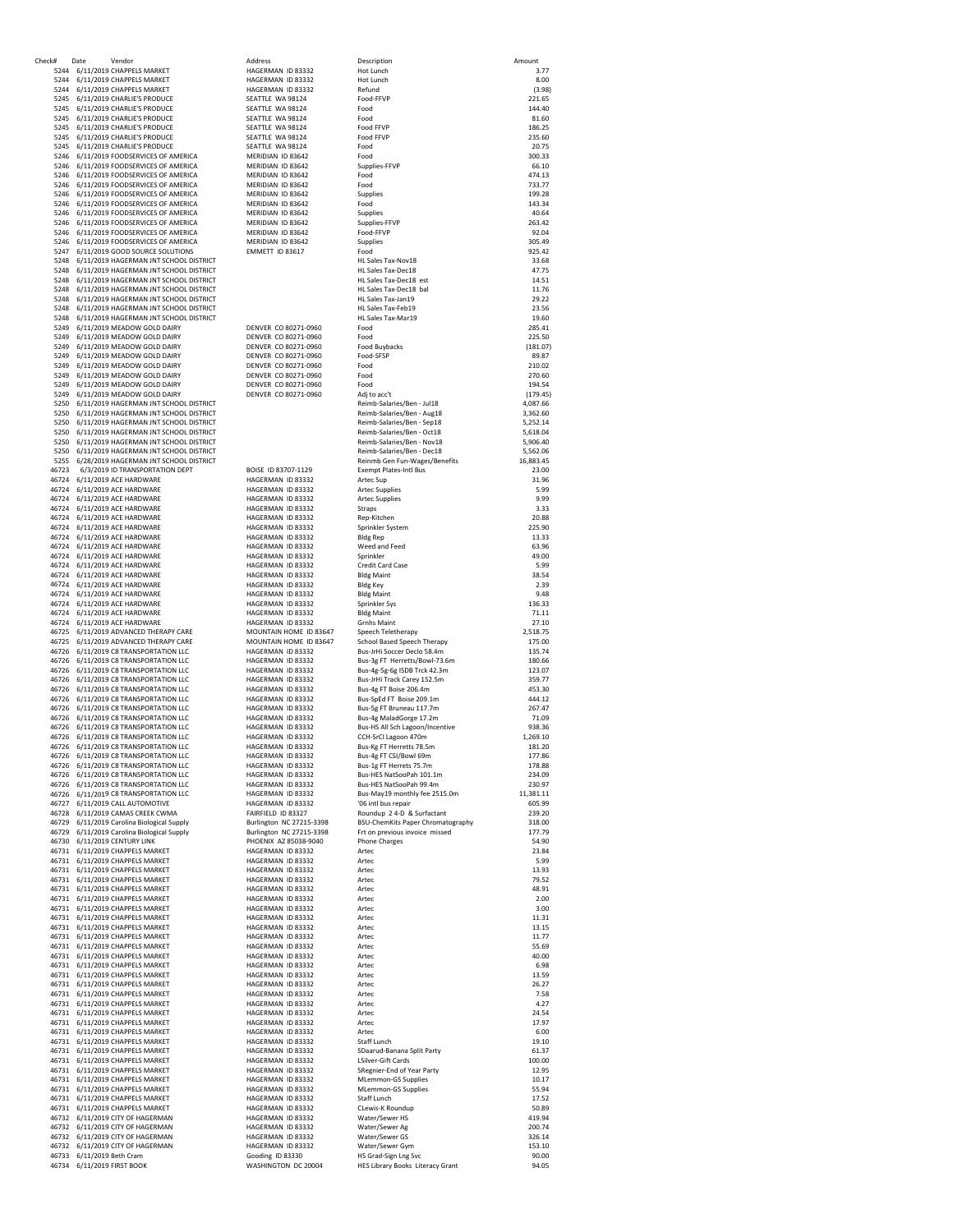| Check# | Date                       | Vendor                                     | Address                  | Description                       | Amount    |
|--------|----------------------------|--------------------------------------------|--------------------------|-----------------------------------|-----------|
| 5244   |                            | 6/11/2019 CHAPPELS MARKET                  | HAGERMAN ID 83332        | Hot Lunch                         | 3.77      |
| 5244   |                            | 6/11/2019 CHAPPELS MARKET                  | HAGERMAN ID 83332        | Hot Lunch                         | 8.00      |
| 5244   |                            | 6/11/2019 CHAPPELS MARKET                  | HAGERMAN ID 83332        | Refund                            | (3.98)    |
| 5245   |                            | 6/11/2019 CHARLIE'S PRODUCE                | SEATTLE WA 98124         | Food-FFVP                         | 221.65    |
| 5245   |                            | 6/11/2019 CHARLIE'S PRODUCE                | SEATTLE WA 98124         | Food                              | 144.40    |
| 5245   |                            | 6/11/2019 CHARLIE'S PRODUCE                | SEATTLE WA 98124         | Food                              | 81.60     |
| 5245   |                            | 6/11/2019 CHARLIE'S PRODUCE                | SEATTLE WA 98124         | Food FFVP                         | 186.25    |
|        |                            |                                            |                          |                                   |           |
| 5245   |                            | 6/11/2019 CHARLIE'S PRODUCE                | SEATTLE WA 98124         | <b>Food FFVP</b>                  | 235.60    |
| 5245   |                            | 6/11/2019 CHARLIE'S PRODUCE                | SEATTLE WA 98124         | Food                              | 20.75     |
| 5246   |                            | 6/11/2019 FOODSERVICES OF AMERICA          | MERIDIAN ID 83642        | Food                              | 300.33    |
| 5246   |                            | 6/11/2019 FOODSERVICES OF AMERICA          | MERIDIAN ID 83642        | Supplies-FEVP                     | 66.10     |
| 5246   |                            | 6/11/2019 FOODSERVICES OF AMERICA          | MERIDIAN ID 83642        | Food                              | 474.13    |
| 5246   |                            | 6/11/2019 FOODSERVICES OF AMERICA          | MERIDIAN ID 83642        | Food                              | 733.77    |
| 5246   |                            | 6/11/2019 FOODSERVICES OF AMERICA          | MERIDIAN ID 83642        | Supplies                          | 199.28    |
| 5246   |                            |                                            |                          |                                   | 143.34    |
|        |                            | 6/11/2019 FOODSERVICES OF AMERICA          | MERIDIAN ID 83642        | Food                              |           |
| 5246   |                            | 6/11/2019 FOODSERVICES OF AMERICA          | MERIDIAN ID 83642        | Supplies                          | 40.64     |
| 5246   |                            | 6/11/2019 FOODSERVICES OF AMERICA          | MERIDIAN ID 83642        | Supplies-FFVP                     | 263.42    |
| 5246   |                            | 6/11/2019 FOODSERVICES OF AMERICA          | MERIDIAN ID 83642        | Food-FFVP                         | 92.04     |
| 5246   |                            | 6/11/2019 FOODSERVICES OF AMERICA          | MERIDIAN ID 83642        | Supplies                          | 305.49    |
| 5247   |                            | 6/11/2019 GOOD SOURCE SOLUTIONS            | EMMETT ID 83617          | Food                              | 925.42    |
| 5248   |                            | 6/11/2019 HAGERMAN JNT SCHOOL DISTRICT     |                          | HL Sales Tax-Nov18                | 33.68     |
| 5248   |                            |                                            |                          | HL Sales Tax-Dec18                |           |
|        |                            | 6/11/2019 HAGERMAN JNT SCHOOL DISTRICT     |                          |                                   | 47.75     |
| 5248   |                            | 6/11/2019 HAGERMAN JNT SCHOOL DISTRICT     |                          | HL Sales Tax-Dec18 est            | 14.51     |
| 5248   |                            | 6/11/2019 HAGERMAN JNT SCHOOL DISTRICT     |                          | HL Sales Tax-Dec18 bal            | 11.76     |
| 5248   |                            | 6/11/2019 HAGERMAN JNT SCHOOL DISTRICT     |                          | HL Sales Tax-Jan19                | 29.22     |
| 5248   |                            | 6/11/2019 HAGERMAN JNT SCHOOL DISTRICT     |                          | <b>HL Sales Tax-Feb19</b>         | 23.56     |
| 5248   |                            | 6/11/2019 HAGERMAN JNT SCHOOL DISTRICT     |                          | HL Sales Tax-Mar19                | 19.60     |
| 5249   |                            | 6/11/2019 MEADOW GOLD DAIRY                | DENVER CO 80271-0960     | Food                              | 285.41    |
| 5249   |                            | 6/11/2019 MEADOW GOLD DAIRY                | DENVER CO 80271-0960     | Food                              | 225.50    |
| 5249   |                            | 6/11/2019 MEADOW GOLD DAIRY                | DENVER CO 80271-0960     | Food Buybacks                     | (181.07)  |
|        |                            |                                            |                          |                                   |           |
| 5249   |                            | 6/11/2019 MEADOW GOLD DAIRY                | DENVER CO 80271-0960     | Food-SFSP                         | 89.87     |
| 5249   |                            | 6/11/2019 MEADOW GOLD DAIRY                | DENVER CO 80271-0960     | Food                              | 210.02    |
| 5249   |                            | 6/11/2019 MEADOW GOLD DAIRY                | DENVER CO 80271-0960     | Food                              | 270.60    |
| 5249   |                            | 6/11/2019 MEADOW GOLD DAIRY                | DENVER CO 80271-0960     | Food                              | 194.54    |
| 5249   |                            | 6/11/2019 MEADOW GOLD DAIRY                | DENVER CO 80271-0960     | Adj to acc't                      | (179.45)  |
| 5250   |                            | 6/11/2019 HAGFRMAN INT SCHOOL DISTRICT     |                          | Reimb-Salaries/Ben - Jul18        | 4.087.66  |
| 5250   |                            | 6/11/2019 HAGERMAN JNT SCHOOL DISTRICT     |                          | Reimb-Salaries/Ben - Aug18        |           |
|        |                            |                                            |                          |                                   | 3,362.60  |
| 5250   |                            | 6/11/2019 HAGERMAN JNT SCHOOL DISTRICT     |                          | Reimb-Salaries/Ben - Sep18        | 5,252.14  |
| 5250   |                            | 6/11/2019 HAGERMAN JNT SCHOOL DISTRICT     |                          | Reimb-Salaries/Ben - Oct18        | 5,618.04  |
| 5250   |                            | 6/11/2019 HAGERMAN JNT SCHOOL DISTRICT     |                          | Reimb-Salaries/Ben - Nov18        | 5,906.40  |
| 5250   |                            | 6/11/2019 HAGERMAN JNT SCHOOL DISTRICT     |                          | Reimb-Salaries/Ben - Dec18        | 5,562.06  |
| 5255   |                            | 6/28/2019 HAGERMAN JNT SCHOOL DISTRICT     |                          | Reinmb Gen Fun-Wages/Benefits     | 16,883.45 |
| 46723  |                            | 6/3/2019 ID TRANSPORTATION DEPT            | BOISE ID 83707-1129      | <b>Exempt Plates-Intl Bus</b>     | 23.00     |
|        |                            |                                            |                          |                                   |           |
|        |                            | 46724 6/11/2019 ACE HARDWARE               | HAGERMAN ID 83332        | Artec Sup                         | 31.96     |
|        |                            | 46724 6/11/2019 ACE HARDWARE               | HAGERMAN ID 83332        | <b>Artec Supplies</b>             | 5.99      |
|        |                            | 46724 6/11/2019 ACE HARDWARE               | HAGERMAN ID 83332        | <b>Artec Supplies</b>             | 9.99      |
|        |                            | 46724 6/11/2019 ACE HARDWARE               | HAGERMAN ID 83332        | Straps                            | 3.33      |
|        |                            | 46724 6/11/2019 ACE HARDWARE               | HAGERMAN ID 83332        | Rep-Kitchen                       | 20.88     |
|        |                            | 46724 6/11/2019 ACE HARDWARE               | HAGERMAN ID 83332        | Sprinkler System                  | 225.90    |
|        |                            | 46724 6/11/2019 ACE HARDWARE               | HAGERMAN ID 83332        | <b>Bldg Rep</b>                   | 13.33     |
|        |                            |                                            | HAGERMAN ID 83332        |                                   | 63.96     |
|        |                            | 46724 6/11/2019 ACE HARDWARE               |                          | Weed and Feed                     |           |
|        |                            | 46724 6/11/2019 ACE HARDWARE               | HAGERMAN ID 83332        | Sprinkler                         | 49.00     |
| 46724  |                            | 6/11/2019 ACE HARDWARE                     | HAGERMAN ID 83332        | Credit Card Case                  | 5.99      |
| 46724  |                            | 6/11/2019 ACE HARDWARE                     | HAGERMAN ID 83332        | <b>Bldg Maint</b>                 | 38.54     |
| 46724  |                            | 6/11/2019 ACE HARDWARE                     | HAGERMAN ID 83332        | <b>Bldg Key</b>                   | 2.39      |
| 46724  |                            | 6/11/2019 ACE HARDWARE                     | HAGERMAN ID 83332        | <b>Bldg Maint</b>                 | 9.48      |
| 46724  |                            | 6/11/2019 ACE HARDWARE                     | HAGERMAN ID 83332        | Sprinkler Sys                     | 136.33    |
|        |                            |                                            |                          |                                   |           |
| 46724  |                            | 6/11/2019 ACE HARDWARE                     | HAGERMAN ID 83332        | <b>Bldg Maint</b>                 | 71.11     |
| 46724  |                            | 6/11/2019 ACE HARDWARE                     | HAGERMAN ID 83332        | <b>Grnhs Maint</b>                | 27.10     |
| 46725  |                            | 6/11/2019 ADVANCED THERAPY CARE            | MOUNTAIN HOME ID 83647   | Speech Teletherapy                | 2,518.75  |
| 46725  |                            | 6/11/2019 ADVANCED THERAPY CARE            | MOUNTAIN HOME ID 83647   | School Based Speech Therapy       | 175.00    |
| 46726  |                            | 6/11/2019 C8 TRANSPORTATION LLC            | HAGERMAN ID 83332        | Bus-JrHi Soccer Declo 58.4m       | 135.74    |
| 46726  |                            | 6/11/2019 C8 TRANSPORTATION LLC            | HAGERMAN ID 83332        | Bus-3g FT Herretts/Bowl-73.6m     | 180.66    |
| 46726  |                            | 6/11/2019 C8 TRANSPORTATION LLC            | HAGERMAN ID 83332        | Bus-4g-5g-6g ISDB Trck 42.3m      | 123.07    |
|        |                            |                                            |                          |                                   |           |
| 46726  |                            | 6/11/2019 C8 TRANSPORTATION LLC            | HAGERMAN ID 83332        | Bus-JrHi Track Carey 152.5m       | 359.77    |
| 46726  |                            | 6/11/2019 C8 TRANSPORTATION LLC            | HAGERMAN ID 83332        | Bus-4g FT Boise 206.4m            | 453.30    |
| 46726  |                            | 6/11/2019 C8 TRANSPORTATION LLC            | HAGERMAN ID 83332        | Bus-SpEd FT Boise 209.1m          | 444.12    |
| 46726  |                            | 6/11/2019 C8 TRANSPORTATION LLC            | HAGERMAN ID 83332        | Bus-5g FT Bruneau 117.7m          | 267.47    |
| 46726  |                            | 6/11/2019 C8 TRANSPORTATION LLC            | HAGERMAN ID 83332        | Bus-4g MaladGorge 17.2m           | 71.09     |
| 46726  |                            | 6/11/2019 C8 TRANSPORTATION LLC            | HAGERMAN ID 83332        | Bus-HS All Sch Lagoon/Incentive   | 938.36    |
| 46726  |                            | 6/11/2019 C8 TRANSPORTATION LLC            | HAGERMAN ID 83332        | CCH-SrCl Lagoon 470m              | 1,269.10  |
|        |                            | 46726 6/11/2019 C8 TRANSPORTATION LLC      | HAGERMAN ID 83332        | Bus-Kg FT Herretts 78.5m          | 181.20    |
|        |                            | 46726 6/11/2019 C8 TRANSPORTATION LLC      | HAGERMAN ID 83332        | Bus-4g FT CSI/Bowl 69m            | 177.86    |
|        |                            |                                            |                          |                                   |           |
|        |                            | 46726 6/11/2019 C8 TRANSPORTATION LLC      | HAGERMAN ID 83332        | Bus-1g FT Herrets 75.7m           | 178.88    |
|        |                            | 46726 6/11/2019 C8 TRANSPORTATION LLC      | HAGERMAN ID 83332        | Bus-HES NatSooPah 101.1m          | 234.09    |
|        |                            | 46726 6/11/2019 C8 TRANSPORTATION LLC      | HAGERMAN ID 83332        | Bus-HES NatSooPah 99.4m           | 230.97    |
|        |                            | 46726 6/11/2019 C8 TRANSPORTATION LLC      | HAGERMAN ID 83332        | Bus-May19 monthly fee 2515.0m     | 11,381.11 |
|        |                            | 46727 6/11/2019 CALL AUTOMOTIVE            | HAGERMAN ID 83332        | '06 intl bus repair               | 605.99    |
|        |                            | 46728 6/11/2019 CAMAS CREEK CWMA           | FAIRFIELD ID 83327       | Roundup 2 4-D & Surfactant        | 239.20    |
|        |                            |                                            |                          | BSU-ChemKits Paper Chromatography |           |
|        |                            | 46729 6/11/2019 Carolina Biological Supply | Burlington NC 27215-3398 | Frt on previous invoice missed    | 318.00    |
|        |                            | 46729 6/11/2019 Carolina Biological Supply | Burlington NC 27215-3398 |                                   | 177.79    |
|        |                            | 46730 6/11/2019 CENTURY LINK               | PHOENIX AZ 85038-9040    | <b>Phone Charges</b>              | 54.90     |
|        |                            | 46731 6/11/2019 CHAPPELS MARKET            | HAGERMAN ID 83332        | Artec                             | 23.84     |
|        |                            | 46731 6/11/2019 CHAPPELS MARKET            | HAGERMAN ID 83332        | Artec                             | 5.99      |
|        |                            | 46731 6/11/2019 CHAPPELS MARKET            | HAGERMAN ID 83332        | Artec                             | 13.93     |
|        |                            | 46731 6/11/2019 CHAPPELS MARKET            | HAGERMAN ID 83332        | Artec                             | 79.52     |
|        |                            | 46731 6/11/2019 CHAPPELS MARKET            | HAGERMAN ID 83332        | Artec                             | 48.91     |
|        |                            | 46731 6/11/2019 CHAPPELS MARKET            | HAGERMAN ID 83332        | Artec                             | 2.00      |
|        |                            |                                            |                          |                                   |           |
|        |                            | 46731 6/11/2019 CHAPPELS MARKET            | HAGERMAN ID 83332        | Artec                             | 3.00      |
|        |                            | 46731 6/11/2019 CHAPPELS MARKET            | HAGERMAN ID 83332        | Artec                             | 11.31     |
|        |                            | 46731 6/11/2019 CHAPPELS MARKET            | HAGERMAN ID 83332        | Artec                             | 13.15     |
|        |                            | 46731 6/11/2019 CHAPPELS MARKET            | HAGERMAN ID 83332        | Artec                             | 11.77     |
|        |                            | 46731 6/11/2019 CHAPPELS MARKET            | HAGERMAN ID 83332        | Artec                             | 55.69     |
|        |                            | 46731 6/11/2019 CHAPPELS MARKET            | HAGERMAN ID 83332        | Artec                             | 40.00     |
|        |                            | 46731 6/11/2019 CHAPPELS MARKET            | HAGERMAN ID 83332        | Artec                             | 6.98      |
|        |                            | 46731 6/11/2019 CHAPPELS MARKET            | HAGERMAN ID 83332        | Artec                             | 13.59     |
|        |                            | 46731 6/11/2019 CHAPPELS MARKET            | HAGERMAN ID 83332        | Artec                             | 26.27     |
|        |                            |                                            |                          |                                   |           |
|        |                            | 46731 6/11/2019 CHAPPELS MARKET            | HAGERMAN ID 83332        | Artec                             | 7.58      |
|        |                            | 46731 6/11/2019 CHAPPELS MARKET            | HAGERMAN ID 83332        | Artec                             | 4.27      |
|        |                            | 46731 6/11/2019 CHAPPELS MARKET            | HAGERMAN ID 83332        | Artec                             | 24.54     |
|        |                            | 46731 6/11/2019 CHAPPELS MARKET            | HAGERMAN ID 83332        | Artec                             | 17.97     |
|        |                            | 46731 6/11/2019 CHAPPELS MARKET            | HAGERMAN ID 83332        | Artec                             | 6.00      |
|        |                            | 46731 6/11/2019 CHAPPELS MARKET            | HAGERMAN ID 83332        | Staff Lunch                       | 19.10     |
|        |                            |                                            |                          |                                   |           |
|        |                            | 46731 6/11/2019 CHAPPELS MARKET            | HAGERMAN ID 83332        | SDaarud-Banana Split Party        | 61.37     |
|        |                            | 46731 6/11/2019 CHAPPELS MARKET            | HAGERMAN ID 83332        | LSilver-Gift Cards                | 100.00    |
|        |                            | 46731 6/11/2019 CHAPPELS MARKET            | HAGERMAN ID 83332        | SRegnier-End of Year Party        | 12.95     |
|        |                            | 46731 6/11/2019 CHAPPELS MARKET            | HAGERMAN ID 83332        | <b>MLemmon-GS Supplies</b>        | 10.17     |
|        |                            | 46731 6/11/2019 CHAPPELS MARKET            | HAGERMAN ID 83332        | <b>MLemmon-GS Supplies</b>        | 55.94     |
| 46731  |                            | 6/11/2019 CHAPPELS MARKET                  | HAGERMAN ID 83332        | Staff Lunch                       | 17.52     |
|        |                            |                                            |                          |                                   |           |
|        |                            | 46731 6/11/2019 CHAPPELS MARKET            | HAGERMAN ID 83332        | CLewis-K Roundup                  | 50.89     |
| 46732  |                            | 6/11/2019 CITY OF HAGERMAN                 | HAGERMAN ID 83332        | Water/Sewer HS                    | 419.94    |
| 46732  |                            | 6/11/2019 CITY OF HAGERMAN                 | HAGERMAN ID 83332        | Water/Sewer Ag                    | 200.74    |
|        |                            | 46732 6/11/2019 CITY OF HAGERMAN           | HAGERMAN ID 83332        | Water/Sewer GS                    | 326.14    |
|        |                            | 46732 6/11/2019 CITY OF HAGERMAN           | HAGERMAN ID 83332        | Water/Sewer Gym                   | 153.10    |
|        | 46733 6/11/2019 Beth Cram  |                                            | Gooding ID 83330         | HS Grad-Sign Lng Svc              | 90.00     |
|        | 46734 6/11/2019 FIRST BOOK |                                            | WASHINGTON DC 20004      | HES Library Books Literacy Grant  | 94.05     |
|        |                            |                                            |                          |                                   |           |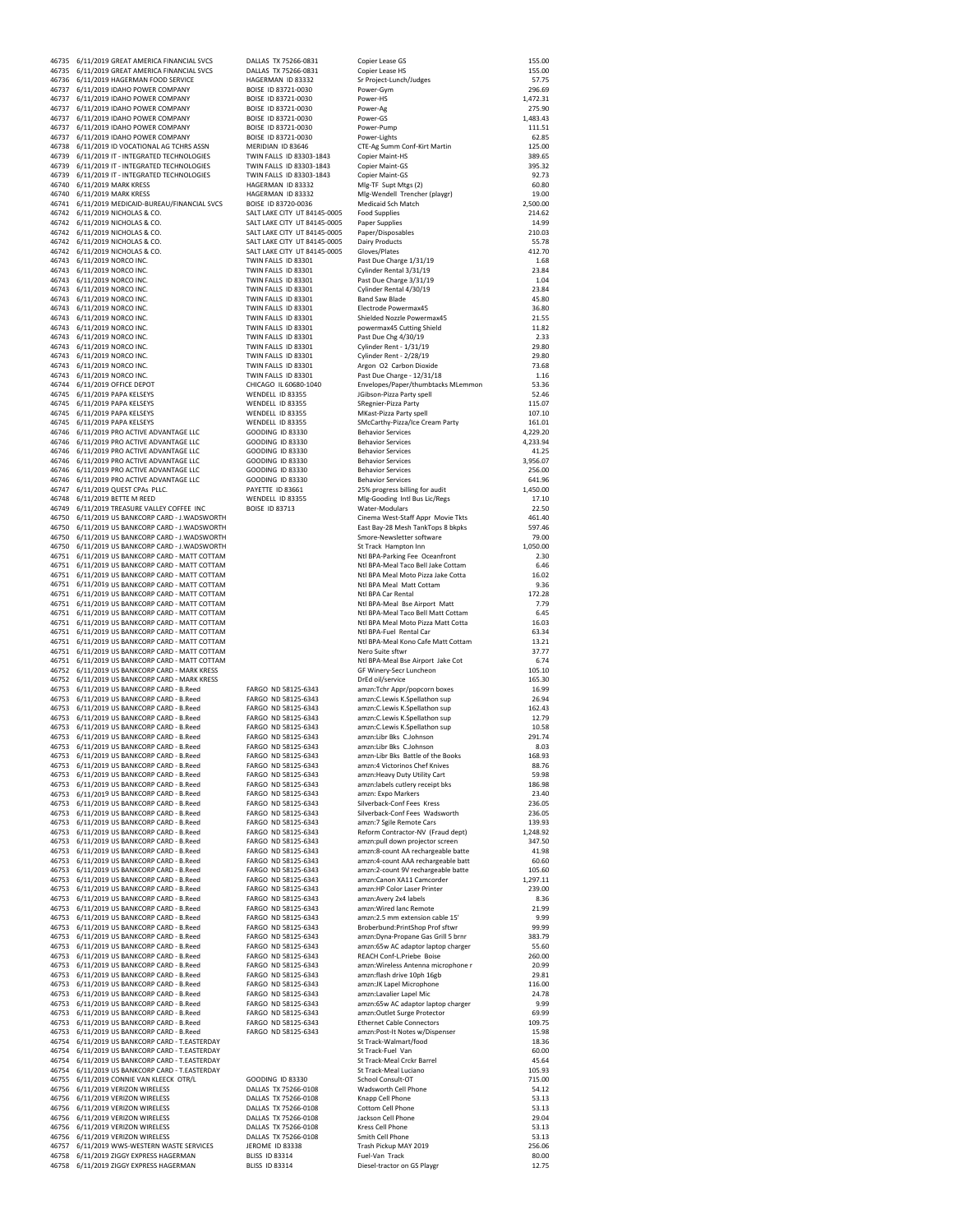46743 6/11/2019 NORCO INC. TWIN FALLS ID 83301 Band Saw Blade 45.80 46756 6/11/2019 VERIZON WIRELESS DALLAS TX 75266-0108 Smith Cell Phone<br>46757 6/11/2019 WWS-WESTERN WASTE SERVICES JEROME ID 83338 Trash Pickup MAY 2019 6/11/2019 ZIGGY EXPRESS HAGERMAN

46735 6/11/2019 GREAT AMERICA FINANCIAL SVCS DALLAS TX 75266‐0831 Copier Lease GS 155.0 0 46735 6/11/2019 GREAT AMERICA FINANCIAL SVCS DALLAS TX 75266‐0831 Copier Lease HS 155.0 0 46736 6/11/2019 HAGERMAN FOOD SERVICE HAGERMAN ID 83332 Sr Project‐Lunch/Judges 5 7.75 46737 6/11/2019 IDAHO POWER COMPANY BOISE ID 83721‐0030 Power‐Gym 296.69 46737 6/11/2019 IDAHO POWER COMPANY BOISE ID 83721‐0030 Power‐HS 1,472.31 46737 6/11/2019 IDAHO POWER COMPANY BOISE ID 83721‐0030 Power‐Ag 275.9 0 46737 6/11/2019 IDAHO POWER COMPANY BOISE ID 83721‐0030 Power‐GS 1,483.43 46737 6/11/2019 IDAHO POWER COMPANY BOISE ID 83721‐0030 Power‐Pump 111.51 46737 6/11/2019 IDAHO POWER COMPANY BOISE ID 83721-0030 Power-Lights 64737 6/11/2019 IDAHO POWER COMPANY BOISE ID 83721-0030 Power-Lights 62.85<br>46738 6/11/2019 ID VOCATIONAL AG TCHRS ASSN MERIDIAN ID 83646 CTE-Ag Summ Conf 46738 6/11/2019 ID VOCATIONAL AG TCHRS ASSN MERIDIAN ID 83646 CTE‐Ag Summ Conf‐Kirt Martin 125.0 0 46739 6/11/2019 IT ‐ INTEGRATED TECHNOLOGIES TWIN FALLS ID 83303‐1843 Copier Maint‐HS 389.65 46739 6/11/2019 IT ‐ INTEGRATED TECHNOLOGIES TWIN FALLS ID 83303‐1843 Copier Maint‐GS 395.32 46739 6/11/2019 IT - INTEGRATED TECHNOLOGIES TWIN FALLS ID 83303-1843 Copier Maint-GS<br>46740 6/11/2019 MARK KRESS HAGERMAN ID 83332 MIg-TF Supt Mtgs (2) 60.80 + 46740 6/11/2019 MARK KRESS + 46740 6/11/2019 MARK KRESS + 46740 6/11/2019 MARK KRESS + 46740 6/11/2019 MARK KRESS + 46740 60.80<br>+ 46740 6/11/2019 MARK KRESS + 46740 MB + 46740 60.80 + 46740 + 46740 + 46740 + 46740 + 467 46740 6/11/2019 MARK KRESS HAGERMAN ID 83332 Mlg‐Wendell Trencher (playgr) 19.00<br>46741 6/11/2019 MEDICAID‐RUREAU/EINANCIAI SVCS ROISE ID 83720-0036 Medicaid Sch Match 46741 6/11/2019 MEDICAID‐BUREAU/FINANCIAL SVCS BOISE ID 83720‐0036 Medicaid Sch Match 2,500.00<br>46742 6/11/2019 MICHOLAS & CO. SALT LAKE CITY UT 84145‐0005 Food Supplies 214.69<br>46742 6/11/2019 NICHOLAS & CO. SALT LAKE CITY 46742 6/11/2019 NICHOLAS & CO. SALT LAKE CITY UT 84145‐0005 Food Supplies 214.62 46742 6/11/2019 NICHOLAS & CO. SALT LAKE CITY UT 84145‐0005 Paper Supplies 14.99 46742 6/11/2019 NICHOLAS & CO. SALT LAKE CITY UT 84145-0005 Paper/Disposables 210.03<br>46742 6/11/2019 NICHOLAS & CO. SALT LAKE CITY UT 84145-0005 Dairy Products 46742 6/11/2019 NICHOLAS & CO. SALT LAKE CITY UT 84145-0005 Dairy Products 65.78<br>46742 6/11/2019 NICHOLAS & CO. SALT LAKE CITY UT 84145-0005 Dairy Products 412.70<br>46742 6/11/2019 NICHOLAS & CO. SALT LAKE CITY UT 84145-0005 46742 6/11/2019 NICHOLAS & CO. SALT LAKE CITY UT 84145-0005 Gloves/Plates 6/11/2019 NICHOLAS 412.70<br>46743 6/11/2019 NORCO INC. SALT ON THE TERM TO BE THE RESOLUTION CONTRACT Past Due Charge 1/31/19 46743 6/11/2019 NORCO INC. TWIN FALLS ID 83301 Past Due Charge 1/31/19 1.68 46743 6/11/2019 NORCO INC. TWIN FALLS ID 83301 Cylinder Rental 3/31/19 23.84 46743 6/11/2019 NORCO INC. TWIN FALLS ID 83301 Past Due Charge 3/31/19 1.04 46743 6/11/2019 NORCO INC. TWIN FALLS ID 83301 Cylinder Rental 4/30/19 23.84 46743 6/11/2019 NORCO INC. TWIN FALLS ID 83301 Electrode Powermax45 36.80 46743 6/11/2019 NORCO INC. TWIN FALLS ID 83301 Shielded Nozzle Powermax45 21.55 46743 6/11/2019 NORCO INC. TWIN FALLS ID 83301 powermax45 Cutting Shield 11.82 46743 6/11/2019 NORCO INC. TWIN FALLS ID 83301 Past Due Chg 4/30/19 2.33 46743 6/11/2019 NORCO INC. TWIN FALLS ID 83301 Cylinder Rent ‐ 1/31/19 29.80 46743 6/11/2019 NORCO INC. TWIN FALLS ID 83301 Cylinder Rent ‐ 2/28/19 29.80 46743 6/11/2019 NORCO INC. TWIN FALLS ID 83301 Argon O2 Carbon Dioxide 73.68 46743 6/11/2019 NORCO INC. <br>46744 6/11/2019 OFFICE DEPOT TWIN FALLS ID 83301 Past Due Charge - 12/31/18 116<br>46744 6/11/2019 OFFICE DEPOT TWIN CHICAGO IL 60680-1040 Envelopes/Paper/thumbtacks MLemmon 53.36 46744 6/11/2019 OFFICE DEPOT CHICAGO IL 60680‐1040 Envelopes/Paper/thumbtacks MLemmon 53.36 46745 6/11/2019 PAPA KELSEYS WENDELL ID 83355 JGibson‐Pizza Party spell 52.46 +46745 6/11/2019 PAPA KELSEYS (+474) UNCANDELL ID 83355 (+474) (+474) (+474) (+474) (+474) (+474) (+475) (+475<br>46745 6/11/2019 PAPA KELSEYS (+475) WENDELL ID 83355 (+475) (+476) (+475) (+475) (+476) (+476) (+476) (+476) 46745 6/11/2019 PAPA KELSEYS WENDELL ID 83355 MKast-Pizza Party spell 107.10<br>46745 6/11/2019 PAPA KELSEYS WENDELL ID 83355 SMCCarthy-Pizza/Ice Cream Party 161.01 46745 6/11/2019 PAPA KELSEYS WENDELL ID 83355 SMcCarthy-Pizza/Ice Cream Party 161.01<br>46746 6/11/2019 PRO ACTIVE ADVANTAGE LLC GOODING ID 83330 Behavior Services 4,229.20 46746 6/11/2019 PRO ACTIVE ADVANTAGE LLC GOODING ID 83330 Behavior Services 4,229.20<br>46746 6/11/2019 PRO ACTIVE ADVANTAGE LLC GOODING ID 83330 Behavior Services 4,233.94 46746 6/11/2019 PRO ACTIVE ADVANTAGE LLC GOODING ID 83330 Behavior Services 4.233.94<br>46746 6/11/2019 PRO ACTIVE ADVANTAGE LLC GOODING ID 83330 Behavior Services 41.25 41.255.07<br>46746 6/11/2019 PRO ACTIVE ADVANTAGE LLC GOOD 46746 6/11/2019 PRO ACTIVE ADVANTAGE LLC GOODING ID 83330 Behavior Services 41.25 46746 6/11/2019 PRO ACTIVE ADVANTAGE LLC GOODING ID 83330 Behavior Services 3,956.07 46746 6/11/2019 PRO ACTIVE ADVANTAGE LLC GOODING ID 83330 Behavior Services 256.00<br>46746 6/11/2019 PRO ACTIVE ADVANTAGE LLC GOODING ID 83330 Behavior Services 2641.96 46746 6/11/2019 PRO ACTIVE ADVANTAGE LLC GOODING ID 83330 Behavior Services 641.96 46747 6/11/2019 QUEST CPAs PLLC. PAYETTE ID 83661 25% progress billing for audit 1,450.0 0 46748 6/11/2019 BETTE M REED WENDELL ID 83355 Mlg‐Gooding Intl Bus Lic/Regs 17.1 0 46749 6/11/2019 TREASURE VALLEY COFFEE INC BOISE ID 83713 Water‐Modulars 22.50 46750 6/11/2019 US BANKCORP CARD ‐ J.WADSWORTH Cinema West‐Staff Appr Movie Tkts 461.40 46750 6/11/2019 US BANKCORP CARD ‐ J.WADSWORTH East Bay‐28 Mesh TankTops 8 bkpks 597.46 46750 6/11/2019 US BANKCORP CARD ‐ J.WADSWORTH Smore‐Newsletter software 79.00 46750 6/11/2019 US BANKCORP CARD ‐ J.WADSWORTH St Track Hampton Inn 1,050.0 0 46751 6/11/2019 US BANKCORP CARD ‐ MATT COTTAM Ntl BPA‐Parking Fee Oceanfront 2.30 46751 6/11/2019 US BANKCORP CARD ‐ MATT COTTAM Ntl BPA‐Meal Taco Bell Jake Cottam 6.46 46751 6/11/2019 US BANKCORP CARD ‐ MATT COTTAM Ntl BPA Meal Moto Pizza Jake Cotta 16.02 46751 6/11/2019 US BANKCORP CARD ‐ MATT COTTAM Ntl BPA Meal Matt Cottam 9.36 46751 6/11/2019 US BANKCORP CARD ‐ MATT COTTAM Ntl BPA Car Rental 172.28 46751 6/11/2019 US BANKCORP CARD ‐ MATT COTTAM Ntl BPA‐Meal Bse Airport Matt 7.79 46751 6/11/2019 US BANKCORP CARD ‐ MATT COTTAM Ntl BPA‐Meal Taco Bell Matt Cottam 6.45 46751 6/11/2019 US BANKCORP CARD ‐ MATT COTTAM Ntl BPA Meal Moto Pizza Matt Cotta 16.03 46751 6/11/2019 US BANKCORP CARD ‐ MATT COTTAM Ntl BPA‐Fuel Rental Car 63.34 46751 6/11/2019 US BANKCORP CARD ‐ MATT COTTAM Ntl BPA‐Meal Kono Cafe Matt Cottam 13.21 46751 6/11/2019 US BANKCORP CARD ‐ MATT COTTAM Nero Suite sftwr 37.77 46751 6/11/2019 US BANKCORP CARD ‐ MATT COTTAM Ntl BPA‐Meal Bse Airport Jake Cot 6.74 46752 6/11/2019 US BANKCORP CARD ‐ MARK KRESS GF Winery‐Secr Luncheon 105.1 0 46752 6/11/2019 US BANKCORP CARD - MARK KRESS<br>46753 6/11/2019 US BANKCORP CARD - BROG AND MARK ARE MORE ARRY ARRY (POPOCORT DOSES 16.99)<br>46753 6/11/2019 US BANKCORP CARD - B.Reed - FARGO ND 58125-6343 amzn:C.Lewis K.Spella 46753 6/11/2019 US BANKCORP CARD ‐ B.Reed FARGO ND 58125‐6343 amzn:Tchr Appr/popcorn boxes 16.99 46753 6/11/2019 US BANKCORP CARD ‐ B.Reed FARGO ND 58125‐6343 amzn:C.Lewis K.Spellathon sup 26.9 4 46753 6/11/2019 US BANKCORP CARD • BARBEL FARGO ND 58125-6343 amzn:Tchr Appr/popcorn boxes<br>46753 6/11/2019 US BANKCORP CARD • B.Reed FARGO ND 58125-6343 amzn:C.Lewis K.Spellathon sup 162.434<br>46753 6/11/2019 US BANKCORP CAR 46753 6/11/2019 US BANKCORP CARD ‐ B.Reed FARGO ND 58125‐6343 amzn:C.Lewis K.Spellathon sup 12.79 46753 6/11/2019 US BANKCORP CARD ‐ B.Reed FARGO ND 58125‐6343 amzn:C.Lewis K.Spellathon sup 10.58 46753 6/11/2019 US BANKCORP CARD - B.Reed FARGO ND 58125-6343 amzn:Libr Bks C.Johnson<br>46753 6/11/2019 US BANKCORP CARD - B.Reed FARGO ND 58125-6343 amzn:Libr Bks C.Johnson 2010 - 8.03<br>46753 6/11/2019 US BANKCORP CARD - B.R 46753 6/11/2019 US BANKCORP CARD - B.Reed FARGO ND 58125-6343 amzn:Libr Bks C.Johnson - 8.03 .<br>46753 6/11/2019 US BANKCORP CARD - RAGO AD 58125-6343 amzn-Libr Bks Battle of the Books - 158.93<br>46753 6/11/2019 US BANKCORP CA 46753 6/11/2019 US BANKCORP CARD ‐ B.Reed FARGO ND 58125‐6343 amzn:Heavy Duty Utility Cart 59.98 46753 6/11/2019 US BANKCORP CARD ‐ B.Reed FARGO ND 58125‐6343 amzn:labels cutlery receipt bks 186.98 46753 6/11/2019 US BANKCORP CARD ‐ B.Reed FARGO ND 58125‐6343 amzn: Expo Markers 23.40<br>46753 6/11/2019 US RANKCORP CARD ‐ R Reed FARGO ND 58125‐6343 Silverback-Conf Fees Kress 23605 46753 6/11/2019 US BANKCORP CARD • BREED FOR A MOO ND 58125-6343 Silverback-Conf Fees Kress 236.05<br>46753 6/11/2019 US BANKCORP CARD • BReed FARGO ND 58125‐6343 Silverback-Conf Fees Wadsworth 236.05<br>46753 6/11/2019 US BANK 46753 6/11/2019 US BANKCORP CARD ‐ B.Reed FARGO ND 58125‐6343 Silverback‐Conf Fees Wadsworth 236.05 46753 6/11/2019 US BANKCORP CARD ‐ B.Reed FARGO ND 58125‐6343 amzn:7 Sgile Remote Cars 139.93 46753 6/11/2019 US BANKCORP CARD - B.Reed FARGO ND 58125-6343 Reform Contractor-NV (Fraud dept) 1,248.92<br>46753 6/11/2019 US BANKCORP CARD - B.Reed FARGO ND 58125-6343 amzn:pull down projector s 46753 6/11/2019 US BANKCORP CARD - B.Reed FARGO ND 58125‐6343 amzn:8‐count AA rechargeable batte 41.98<br>46753 6/11/2019 US BANKCORP CARD - B.Reed FARGO ND 58125‐6343 amzn:4‐count AAA rechargeable batt 60.60 46753 6/11/2019 US BANKCORP CARD - B.Reed FARGO ND 58125-6343 amzn:4-count AAA rechargeable batt 60.60<br>46753 6/11/2019 US BANKCORP CARD - B.Reed FARGO ND 58125-6343 amzn:2-count 9V rechargeable batt 105.60<br>46753 6/11/2019 46753 6/11/2019 US BANKCORP CARD ‐ B.Reed FARGO ND 58125‐6343 amzn:2‐count 9V rechargeable batte 105.6 0 46753 6/11/2019 US BANKCORP CARD ‐ B.Reed FARGO ND 58125‐6343 amzn:Canon XA11 Camcorder 1,297.11 46753 6/11/2019 US BANKCORP CARD • B.Reed FARGO ND 58125-6343 amzn:HP Color Laser Printer 239.00<br>46753 6/11/2019 US BANKCORP CARD • B.Reed FARGO ND 58125-6343 amzn:Avery 244 labels 8.86 239.00<br>46753 6/11/2019 US BANKCORP C 46753 6/11/2019 US BANKCORP CARD ‐ B.Reed FARGO ND 58125‐6343 amzn:Avery 2x4 labels 8.36 46753 6/11/2019 US BANKCORP CARD ‐ B.Reed FARGO ND 58125‐6343 amzn:Wired lanc Remote 21.99 46753 6/11/2019 US BANKCORP CARD - B.Reed FARGO ND 58125-6343 amzn:2.5 mm extension cable 15' 999<br>16753 6/11/2019 US BANKCORP CARD - B.Reed FARGO ND 58125-6343 Broberbund:PrintShop Prof stfwr<br>16753 6/11/2019 US BANKCORP CA 46753 6/11/2019 US BANKCORP CARD - B.Reed FARGO ND 58125-6343 Broberbund:PrintShop Prof sftwr 99.99<br>46753 6/11/2019 US BANKCORP CARD - B.Reed FARGO ND 58125-6343 amzn:Dyna-Propane Gas Grill 5 46753 6/11/2019 US BANKCORP CARD • B.Reed FARGO ND 58125-6343 amzn:65w AC adaptor laptop charger S.S.60<br>46753 6/11/2019 US BANKCORP CARD • B.Reed FARGO ND 58125‐6343 REACH Confl-LPriebe Boise 200.00<br>46753 6/11/2019 US BANK 46753 6/11/2019 US BANKCORP CARD ‐ B.Reed FARGO ND 58125‐6343 REACH Conf‐L.Priebe Boise 260.0 0 46753 6/11/2019 US BANKCORP CARD ‐ B.Reed FARGO ND 58125‐6343 amzn:Wireless Antenna microphone r 20.99 46753 6/11/2019 US BANKCORP CARD - B.Reed FARGO ND 58125-6343 amzn:flash drive 10ph 16gb 29.81<br>46753 6/11/2019 US BANKCORP CARD - B.Reed FARGO ND 58125-6343 amzn:/klapel Microphone 116.000<br>46753 6/11/2019 US BANKCORP CARD 46753 6/11/2019 US BANKCORP CARD ‐ B.Reed FARGO ND 58125‐6343 amzn:JK Lapel Microphone 116.0 0 46753 6/11/2019 US BANKCORP CARD ‐ B.Reed FARGO ND 58125‐6343 amzn:Lavalier Lapel Mic 24.78 46753 6/11/2019 US BANKCORP CARD ‐ B.Reed FARGO ND 58125‐6343 amzn:65w AC adaptor laptop charger 9.99 46753 6/11/2019 US BANKCORP CARD ‐ B.Reed FARGO ND 58125‐6343 amzn:Outlet Surge Protector 69.99 46753 6/11/2019 US BANKCORP CARD ‐ B.Reed FARGO ND 58125‐6343 Ethernet Cable Connectors 109.75 46753 6/11/2019 US BANKCORP CARD - B.Reed FARGO ND 58125-6343 amzn:Post-It Notes w/Dispenser 15.98<br>46754 6/11/2019 IS RANKCORP CARD - T.EASTERDAY SANG DISPENSER SE Track-Walmart/food 46754 6/11/2019 US BANKCORP CARD ‐ T.EASTERDAY St Track‐Walmart/food 18.36 46754 6/11/2019 US BANKCORP CARD ‐ T.EASTERDAY St Track‐Fuel Van 60.00 46754 6/11/2019 US BANKCORP CARD ‐ T.EASTERDAY St Track‐Meal Crckr Barrel 45.6 4 46754 6/11/2019 US BANKCORP CARD ‐ T.EASTERDAY St Track‐Meal Luciano 105.93 46755 6/11/2019 CONNIE VAN KLEECK OTR/L GOODING ID 83330 School Consult‐OT 715.00 46756 6/11/2019 VERIZON WIRELESS DALLAS TX 75266‐0108 Wadsworth Cell Phone 54.12 +46756 6/11/2019 VERIZON WIRELESS **1.2008**<br>46756 6/11/2019 VERIZON WIRELESS DALLAS TX 75266-0108 Knapp Cell Phone 53.13<br>46756 6/11/2019 VERIZON WIRELESS DALLAS TX 75266-0108 Cottom Cell Phone 53.13<br>46756 6/11/2019 VERIZON 46756 6/11/2019 VERIZON WIRELESS DALLAS TX 75266‐0108 Cottom Cell Phone 53.13 46756 6/11/2019 VERIZON WIRELESS DALLAS TX 75266‐0108 Jackson Cell Phone 29.0 4 46756 6/11/2019 VERIZON WIRELESS DALLAS TX 75266‐0108 Kress Cell Phone 53.13 46757 6/11/2019 WWS-WESTERN WASTE SERVICES JEROME ID 83338 Trash Pickup MAY 2019<br>46758 6/11/2019 ZIGGY EXPRESS HAGERMAN BLISS ID 83314 Fuel-Van Track Track 30.00 46758 6/11/2019 ZIGGY EXPRESS HAGERMAN BLISS ID 83314 Fuel-Van Track<br>46758 6/11/2019 ZIGGY EXPRESS HAGERMAN BLISS ID 83314 Diesel-tractor on GS Playgr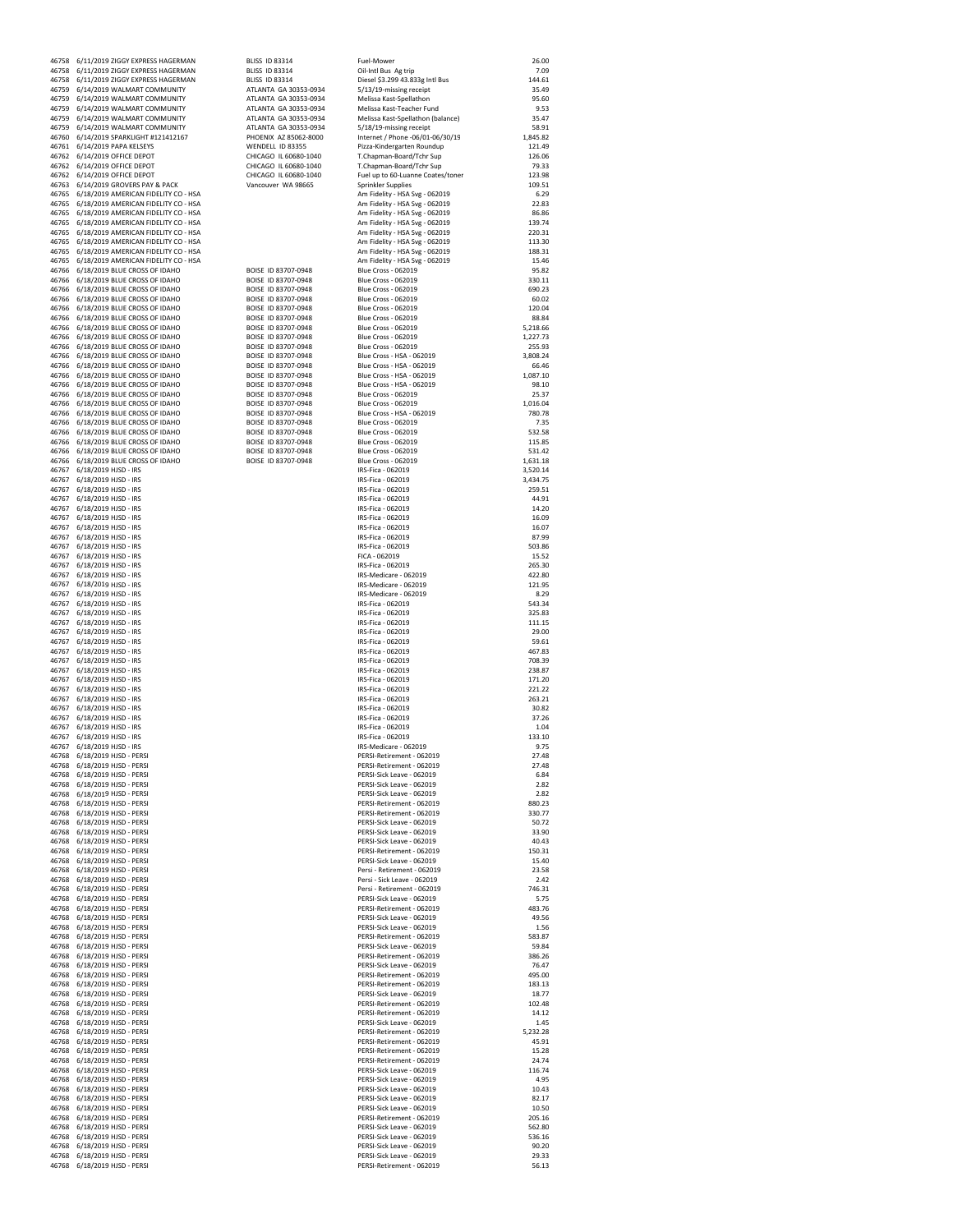|                | 46758 6/11/2019 ZIGGY EXPRESS HAGERMAN                                                   | <b>BLISS ID 83314</b>                          | Fuel-Mower                                                       | 26.00             |
|----------------|------------------------------------------------------------------------------------------|------------------------------------------------|------------------------------------------------------------------|-------------------|
|                | 46758 6/11/2019 ZIGGY EXPRESS HAGERMAN                                                   | <b>BLISS ID 83314</b>                          | Oil-Intl Bus Ag trip                                             | 7.09              |
|                | 46758 6/11/2019 ZIGGY EXPRESS HAGERMAN                                                   | <b>BLISS ID 83314</b>                          | Diesel \$3.299 43.833g Intl Bus                                  | 144.61            |
| 46759          | 6/14/2019 WALMART COMMUNITY                                                              | ATLANTA GA 30353-0934                          | 5/13/19-missing receipt                                          | 35.49             |
| 46759          | 6/14/2019 WALMART COMMUNITY                                                              | ATLANTA GA 30353-0934                          | Melissa Kast-Spellathon                                          | 95.60             |
| 46759<br>46759 | 6/14/2019 WALMART COMMUNITY<br>6/14/2019 WALMART COMMUNITY                               | ATLANTA GA 30353-0934<br>ATLANTA GA 30353-0934 | Melissa Kast-Teacher Fund<br>Melissa Kast-Spellathon (balance)   | 9.53<br>35.47     |
| 46759          | 6/14/2019 WALMART COMMUNITY                                                              | ATLANTA GA 30353-0934                          | 5/18/19-missing receipt                                          | 58.91             |
| 46760          | 6/14/2019 SPARKLIGHT #121412167                                                          | PHOENIX AZ 85062-8000                          | Internet / Phone -06/01-06/30/19                                 | 1.845.82          |
| 46761          | 6/14/2019 PAPA KELSEYS                                                                   | WENDELL ID 83355                               | Pizza-Kindergarten Roundup                                       | 121.49            |
|                | 46762 6/14/2019 OFFICE DEPOT                                                             | CHICAGO IL 60680-1040                          | T.Chapman-Board/Tchr Sup                                         | 126.06            |
|                | 46762 6/14/2019 OFFICE DEPOT                                                             | CHICAGO IL 60680-1040<br>CHICAGO IL 60680-1040 | T.Chapman-Board/Tchr Sup                                         | 79.33<br>123.98   |
|                | 46762 6/14/2019 OFFICE DEPOT<br>46763 6/14/2019 GROVERS PAY & PACK                       | Vancouver WA 98665                             | Fuel up to 60-Luanne Coates/toner<br>Sprinkler Supplies          | 109.51            |
|                | 46765 6/18/2019 AMERICAN FIDELITY CO - HSA                                               |                                                | Am Fidelity - HSA Svg - 062019                                   | 6.29              |
|                | 46765 6/18/2019 AMERICAN FIDELITY CO - HSA                                               |                                                | Am Fidelity - HSA Svg - 062019                                   | 22.83             |
|                | 46765 6/18/2019 AMERICAN FIDELITY CO - HSA                                               |                                                | Am Fidelity - HSA Svg - 062019                                   | 86.86             |
|                | 46765 6/18/2019 AMERICAN FIDELITY CO - HSA                                               |                                                | Am Fidelity - HSA Svg - 062019                                   | 139.74            |
|                | 46765 6/18/2019 AMERICAN FIDELITY CO - HSA<br>46765 6/18/2019 AMERICAN FIDELITY CO - HSA |                                                | Am Fidelity - HSA Svg - 062019<br>Am Fidelity - HSA Svg - 062019 | 220.31<br>113.30  |
|                | 46765 6/18/2019 AMERICAN FIDELITY CO - HSA                                               |                                                | Am Fidelity - HSA Svg - 062019                                   | 188.31            |
|                | 46765 6/18/2019 AMERICAN FIDELITY CO - HSA                                               |                                                | Am Fidelity - HSA Svg - 062019                                   | 15.46             |
|                | 46766 6/18/2019 BLUE CROSS OF IDAHO                                                      | BOISE ID 83707-0948                            | <b>Blue Cross - 062019</b>                                       | 95.82             |
|                | 46766 6/18/2019 BLUE CROSS OF IDAHO                                                      | BOISE ID 83707-0948                            | <b>Blue Cross - 062019</b>                                       | 330.11            |
|                | 46766 6/18/2019 BLUE CROSS OF IDAHO                                                      | BOISE ID 83707-0948                            | Blue Cross - 062019                                              | 690.23            |
|                | 46766 6/18/2019 BLUE CROSS OF IDAHO<br>46766 6/18/2019 BLUE CROSS OF IDAHO               | BOISE ID 83707-0948<br>BOISE ID 83707-0948     | <b>Blue Cross - 062019</b><br><b>Blue Cross - 062019</b>         | 60.02<br>120.04   |
|                | 46766 6/18/2019 BLUE CROSS OF IDAHO                                                      | BOISE ID 83707-0948                            | <b>Blue Cross - 062019</b>                                       | 88.84             |
|                | 46766 6/18/2019 BLUE CROSS OF IDAHO                                                      | BOISE ID 83707-0948                            | <b>Blue Cross - 062019</b>                                       | 5,218.66          |
|                | 46766 6/18/2019 BLUE CROSS OF IDAHO                                                      | BOISE ID 83707-0948                            | <b>Blue Cross - 062019</b>                                       | 1,227.73          |
| 46766          | 6/18/2019 BLUE CROSS OF IDAHO                                                            | BOISE ID 83707-0948                            | <b>Blue Cross - 062019</b>                                       | 255.93            |
| 46766          | 6/18/2019 BLUE CROSS OF IDAHO                                                            | BOISE ID 83707-0948                            | Blue Cross - HSA - 062019                                        | 3,808.24          |
| 46766<br>46766 | 6/18/2019 BLUE CROSS OF IDAHO<br>6/18/2019 BLUE CROSS OF IDAHO                           | BOISE ID 83707-0948<br>BOISE ID 83707-0948     | Blue Cross - HSA - 062019                                        | 66.46             |
| 46766          | 6/18/2019 BLUE CROSS OF IDAHO                                                            | BOISE ID 83707-0948                            | Blue Cross - HSA - 062019<br>Blue Cross - HSA - 062019           | 1,087.10<br>98.10 |
| 46766          | 6/18/2019 BLUE CROSS OF IDAHO                                                            | BOISE ID 83707-0948                            | <b>Blue Cross - 062019</b>                                       | 25.37             |
| 46766          | 6/18/2019 BLUE CROSS OF IDAHO                                                            | BOISE ID 83707-0948                            | Blue Cross - 062019                                              | 1,016.04          |
| 46766          | 6/18/2019 BLUE CROSS OF IDAHO                                                            | BOISE ID 83707-0948                            | Blue Cross - HSA - 062019                                        | 780.78            |
|                | 46766 6/18/2019 BLUE CROSS OF IDAHO                                                      | BOISE ID 83707-0948                            | <b>Blue Cross - 062019</b>                                       | 7.35              |
|                | 46766 6/18/2019 BLUE CROSS OF IDAHO                                                      | BOISE ID 83707-0948                            | <b>Blue Cross - 062019</b>                                       | 532.58            |
|                | 46766 6/18/2019 BLUE CROSS OF IDAHO<br>46766 6/18/2019 BLUE CROSS OF IDAHO               | BOISE ID 83707-0948<br>BOISE ID 83707-0948     | Blue Cross - 062019<br><b>Blue Cross - 062019</b>                | 115.85<br>531.42  |
|                | 46766 6/18/2019 BLUE CROSS OF IDAHO                                                      | BOISE ID 83707-0948                            | <b>Blue Cross - 062019</b>                                       | 1,631.18          |
|                | 46767 6/18/2019 HJSD - IRS                                                               |                                                | IRS-Fica - 062019                                                | 3,520.14          |
|                | 46767 6/18/2019 HJSD - IRS                                                               |                                                | IRS-Fica - 062019                                                | 3,434.75          |
|                | 46767 6/18/2019 HJSD - IRS                                                               |                                                | IRS-Fica - 062019                                                | 259.51            |
|                | 46767 6/18/2019 HJSD - IRS                                                               |                                                | IRS-Fica - 062019                                                | 44.91             |
|                | 46767 6/18/2019 HJSD - IRS                                                               |                                                | IRS-Fica - 062019                                                | 14.20             |
|                | 46767 6/18/2019 HJSD - IRS<br>46767 6/18/2019 HJSD - IRS                                 |                                                | IRS-Fica - 062019<br>IRS-Fica - 062019                           | 16.09<br>16.07    |
|                | 46767 6/18/2019 HJSD - IRS                                                               |                                                | IRS-Fica - 062019                                                | 87.99             |
|                | 46767 6/18/2019 HJSD - IRS                                                               |                                                | IRS-Fica - 062019                                                | 503.86            |
|                | 46767 6/18/2019 HJSD - IRS                                                               |                                                | FICA - 062019                                                    | 15.52             |
| 46767          | 6/18/2019 HJSD - IRS                                                                     |                                                | IRS-Fica - 062019                                                | 265.30            |
| 46767          | 6/18/2019 HJSD - IRS                                                                     |                                                | IRS-Medicare - 062019                                            | 422.80            |
| 46767<br>46767 | 6/18/2019 HJSD - IRS<br>6/18/2019 HJSD - IRS                                             |                                                | IRS-Medicare - 062019<br>IRS-Medicare - 062019                   | 121.95<br>8.29    |
| 46767          | 6/18/2019 HJSD - IRS                                                                     |                                                | IRS-Fica - 062019                                                | 543.34            |
| 46767          | 6/18/2019 HJSD - IRS                                                                     |                                                | IRS-Fica - 062019                                                | 325.83            |
| 46767          | 6/18/2019 HJSD - IRS                                                                     |                                                | IRS-Fica - 062019                                                | 111.15            |
|                | 46767 6/18/2019 HJSD - IRS                                                               |                                                | IRS-Fica - 062019                                                | 29.00             |
|                | 46767 6/18/2019 HJSD - IRS                                                               |                                                | IRS-Fica - 062019                                                | 59.61             |
|                | 46767 6/18/2019 HJSD - IRS                                                               |                                                | IRS-Fica - 062019                                                | 467.83<br>708.39  |
|                | 46767 6/18/2019 HJSD - IRS<br>46767 6/18/2019 HJSD - IRS                                 |                                                | IRS-Fica - 062019<br>IRS-Fica - 062019                           | 238.87            |
|                | 46767 6/18/2019 HJSD - IRS                                                               |                                                | IRS-Fica - 062019                                                | 171.20            |
|                | 46767 6/18/2019 HJSD - IRS                                                               |                                                | IRS-Fica - 062019                                                | 221.22            |
|                | 46767 6/18/2019 HJSD - IRS                                                               |                                                | IRS-Fica - 062019                                                | 263.21            |
|                | 46767 6/18/2019 HJSD - IRS                                                               |                                                | IRS-Fica - 062019                                                | 30.82             |
|                | 46767 6/18/2019 HJSD - IRS                                                               |                                                | IRS-Fica - 062019<br>IRS-Fica - 062019                           | 37.26             |
|                | 46767 6/18/2019 HJSD - IRS<br>46767 6/18/2019 HJSD - IRS                                 |                                                | IRS-Fica - 062019                                                | 1.04<br>133.10    |
|                | 46767 6/18/2019 HJSD - IRS                                                               |                                                | IRS-Medicare - 062019                                            | 9.75              |
|                | 46768 6/18/2019 HJSD - PERSI                                                             |                                                | PERSI-Retirement - 062019                                        | 27.48             |
|                | 46768 6/18/2019 HJSD - PERSI                                                             |                                                | PERSI-Retirement - 062019                                        | 27.48             |
|                | 46768 6/18/2019 HJSD - PERSI                                                             |                                                | PFRSI-Sick Leave - 062019                                        | 6.84              |
|                | 46768 6/18/2019 HJSD - PERSI                                                             |                                                | PFRSI-Sick Leave - 062019                                        | 2.82              |
|                | 46768 6/18/2019 HJSD - PERSI                                                             |                                                | PERSI-Sick Leave - 062019<br>PERSI-Retirement - 062019           | 2.82<br>880.23    |
|                | 46768 6/18/2019 HJSD - PERSI<br>46768 6/18/2019 HJSD - PERSI                             |                                                | PERSI-Retirement - 062019                                        | 330.77            |
|                | 46768 6/18/2019 HJSD - PERSI                                                             |                                                | PERSI-Sick Leave - 062019                                        | 50.72             |
|                | 46768 6/18/2019 HJSD - PERSI                                                             |                                                | PERSI-Sick Leave - 062019                                        | 33.90             |
|                | 46768 6/18/2019 HJSD - PERSI                                                             |                                                | PERSI-Sick Leave - 062019                                        | 40.43             |
| 46768          | 6/18/2019 HJSD - PERSI                                                                   |                                                | PERSI-Retirement - 062019                                        | 150.31            |
| 46768          | 6/18/2019 HJSD - PERSI                                                                   |                                                | PERSI-Sick Leave - 062019                                        | 15.40             |
|                | 46768 6/18/2019 HJSD - PERSI<br>46768 6/18/2019 HJSD - PERSI                             |                                                | Persi - Retirement - 062019<br>Persi - Sick Leave - 062019       | 23.58<br>2.42     |
|                | 46768 6/18/2019 HJSD - PERSI                                                             |                                                | Persi - Retirement - 062019                                      | 746.31            |
|                | 46768 6/18/2019 HJSD - PERSI                                                             |                                                | PERSI-Sick Leave - 062019                                        | 5.75              |
|                | 46768 6/18/2019 HJSD - PERSI                                                             |                                                | PERSI-Retirement - 062019                                        | 483.76            |
|                | 46768 6/18/2019 HJSD - PERSI                                                             |                                                | PERSI-Sick Leave - 062019                                        | 49.56             |
|                | 46768 6/18/2019 HJSD - PERSI                                                             |                                                | PERSI-Sick Leave - 062019                                        | 1.56              |
|                | 46768 6/18/2019 HJSD - PERSI<br>46768 6/18/2019 HJSD - PERSI                             |                                                | PERSI-Retirement - 062019<br>PERSI-Sick Leave - 062019           | 583.87            |
|                | 46768 6/18/2019 HJSD - PERSI                                                             |                                                | PERSI-Retirement - 062019                                        | 59.84<br>386.26   |
|                | 46768 6/18/2019 HJSD - PERSI                                                             |                                                | PERSI-Sick Leave - 062019                                        | 76.47             |
|                | 46768 6/18/2019 HJSD - PERSI                                                             |                                                | PERSI-Retirement - 062019                                        | 495.00            |
|                | 46768 6/18/2019 HJSD - PERSI                                                             |                                                | PERSI-Retirement - 062019                                        | 183.13            |
|                | 46768 6/18/2019 HJSD - PERSI                                                             |                                                | PERSI-Sick Leave - 062019                                        | 18.77             |
|                | 46768 6/18/2019 HJSD - PERSI                                                             |                                                | PERSI-Retirement - 062019<br>PERSI-Retirement - 062019           | 102.48<br>14.12   |
|                | 46768 6/18/2019 HJSD - PERSI<br>46768 6/18/2019 HJSD - PERSI                             |                                                | PERSI-Sick Leave - 062019                                        | 1.45              |
|                | 46768 6/18/2019 HJSD - PERSI                                                             |                                                | PERSI-Retirement - 062019                                        | 5,232.28          |
|                | 46768 6/18/2019 HJSD - PERSI                                                             |                                                | PERSI-Retirement - 062019                                        | 45.91             |
|                | 46768 6/18/2019 HJSD - PERSI                                                             |                                                | PERSI-Retirement - 062019                                        | 15.28             |
|                | 46768 6/18/2019 HJSD - PERSI                                                             |                                                | PERSI-Retirement - 062019                                        | 24.74             |
|                | 46768 6/18/2019 HJSD - PERSI                                                             |                                                | PERSI-Sick Leave - 062019                                        | 116.74            |
|                | 46768 6/18/2019 HJSD - PERSI                                                             |                                                | PERSI-Sick Leave - 062019                                        | 4.95              |
|                | 46768 6/18/2019 HJSD - PERSI<br>46768 6/18/2019 HJSD - PERSI                             |                                                | PERSI-Sick Leave - 062019<br>PERSI-Sick Leave - 062019           | 10.43<br>82.17    |
|                | 46768 6/18/2019 HJSD - PERSI                                                             |                                                | PERSI-Sick Leave - 062019                                        | 10.50             |
|                | 46768 6/18/2019 HJSD - PERSI                                                             |                                                | PERSI-Retirement - 062019                                        | 205.16            |
|                | 46768 6/18/2019 HJSD - PERSI                                                             |                                                | PERSI-Sick Leave - 062019                                        | 562.80            |
|                | 46768 6/18/2019 HJSD - PERSI                                                             |                                                | PERSI-Sick Leave - 062019                                        | 536.16            |
|                | 46768 6/18/2019 HJSD - PERSI                                                             |                                                | PERSI-Sick Leave - 062019                                        | 90.20             |
|                | 46768 6/18/2019 HJSD - PERSI<br>46768 6/18/2010 HISD - PERSI                             |                                                | PERSI-Sick Leave - 062019<br>DERSI-Ratirament - 062019           | 29.33<br>56.13    |

|       | 46758 - 6/11/2019 ZIGGY EXPRESS HAGERMAN                                    | BLISS ID 83314                                 | Fuel-Mower                                               | 26.UU                |
|-------|-----------------------------------------------------------------------------|------------------------------------------------|----------------------------------------------------------|----------------------|
|       | 46758 6/11/2019 ZIGGY EXPRESS HAGERMAN                                      | <b>BLISS ID 83314</b>                          | Oil-Intl Bus Ag trip                                     | 7.09                 |
|       | 46758 6/11/2019 ZIGGY EXPRESS HAGERMAN<br>46759 6/14/2019 WALMART COMMUNITY | <b>BLISS ID 83314</b><br>ATLANTA GA 30353-0934 | Diesel \$3.299 43.833g Intl Bus                          | 144.61<br>35.49      |
|       | 46759 6/14/2019 WALMART COMMUNITY                                           | ATLANTA GA 30353-0934                          | 5/13/19-missing receipt<br>Melissa Kast-Spellathon       | 95.60                |
|       | 46759 6/14/2019 WALMART COMMUNITY                                           | ATLANTA GA 30353-0934                          | Melissa Kast-Teacher Fund                                | 9.53                 |
|       | 46759 6/14/2019 WALMART COMMUNITY                                           | ATLANTA GA 30353-0934                          | Melissa Kast-Spellathon (balance)                        | 35.47                |
|       | 46759 6/14/2019 WALMART COMMUNITY                                           | ATLANTA GA 30353-0934                          | 5/18/19-missing receipt                                  | 58.91                |
|       | 46760 6/14/2019 SPARKLIGHT #121412167                                       | PHOENIX AZ 85062-8000                          | Internet / Phone -06/01-06/30/19                         | 1,845.82             |
|       | 46761 6/14/2019 PAPA KELSEYS                                                | WENDELL ID 83355                               | Pizza-Kindergarten Roundup                               | 121.49               |
|       | 46762 6/14/2019 OFFICE DEPOT                                                | CHICAGO IL 60680-1040                          | T.Chapman-Board/Tchr Sup                                 | 126.06               |
|       | 46762 6/14/2019 OFFICE DEPOT                                                | CHICAGO IL 60680-1040                          | T.Chapman-Board/Tchr Sup                                 | 79.33                |
|       | 46762 6/14/2019 OFFICE DEPOT                                                | CHICAGO IL 60680-1040                          | Fuel up to 60-Luanne Coates/toner                        | 123.98               |
|       | 46763 6/14/2019 GROVERS PAY & PACK                                          | Vancouver WA 98665                             | Sprinkler Supplies                                       | 109.51               |
|       | 46765 6/18/2019 AMERICAN FIDELITY CO - HSA                                  |                                                | Am Fidelity - HSA Svg - 062019                           | 6.29                 |
|       | 46765 6/18/2019 AMERICAN FIDELITY CO - HSA                                  |                                                | Am Fidelity - HSA Svg - 062019                           | 22.83                |
|       | 46765 6/18/2019 AMERICAN FIDELITY CO - HSA                                  |                                                | Am Fidelity - HSA Svg - 062019                           | 86.86                |
|       | 46765 6/18/2019 AMERICAN FIDELITY CO - HSA                                  |                                                | Am Fidelity - HSA Svg - 062019                           | 139.74               |
|       | 46765 6/18/2019 AMERICAN FIDELITY CO - HSA                                  |                                                | Am Fidelity - HSA Svg - 062019                           | 220.31               |
|       | 46765 6/18/2019 AMERICAN FIDELITY CO - HSA                                  |                                                | Am Fidelity - HSA Svg - 062019                           | 113.30               |
|       | 46765 6/18/2019 AMERICAN FIDELITY CO - HSA                                  |                                                | Am Fidelity - HSA Svg - 062019                           | 188.31               |
|       | 46765 6/18/2019 AMERICAN FIDELITY CO - HSA                                  |                                                | Am Fidelity - HSA Svg - 062019                           | 15.46                |
|       | 46766 6/18/2019 BLUE CROSS OF IDAHO                                         | BOISE ID 83707-0948                            | <b>Blue Cross - 062019</b>                               | 95.82                |
|       | 46766 6/18/2019 BLUE CROSS OF IDAHO                                         | BOISE ID 83707-0948                            | <b>Blue Cross - 062019</b>                               | 330.11               |
|       | 46766 6/18/2019 BLUE CROSS OF IDAHO                                         | BOISE ID 83707-0948                            | <b>Blue Cross - 062019</b>                               | 690.23               |
|       | 46766 6/18/2019 BLUE CROSS OF IDAHO                                         | BOISE ID 83707-0948                            | Blue Cross - 062019                                      | 60.02                |
|       | 46766 6/18/2019 BLUE CROSS OF IDAHO                                         | BOISE ID 83707-0948                            | Blue Cross - 062019                                      | 120.04               |
|       | 46766 6/18/2019 BLUE CROSS OF IDAHO                                         | BOISE ID 83707-0948                            | <b>Blue Cross - 062019</b>                               | 88.84                |
|       | 46766 6/18/2019 BLUE CROSS OF IDAHO<br>46766 6/18/2019 BLUE CROSS OF IDAHO  | BOISE ID 83707-0948<br>BOISE ID 83707-0948     | <b>Blue Cross - 062019</b><br><b>Blue Cross - 062019</b> | 5,218.66<br>1,227.73 |
|       | 46766 6/18/2019 BLUE CROSS OF IDAHO                                         | BOISE ID 83707-0948                            | <b>Blue Cross - 062019</b>                               | 255.93               |
|       | 46766 6/18/2019 BLUE CROSS OF IDAHO                                         | BOISE ID 83707-0948                            | Blue Cross - HSA - 062019                                | 3,808.24             |
|       | 46766 6/18/2019 BLUE CROSS OF IDAHO                                         | BOISE ID 83707-0948                            | Blue Cross - HSA - 062019                                | 66.46                |
|       | 46766 6/18/2019 BLUE CROSS OF IDAHO                                         | BOISE ID 83707-0948                            | Blue Cross - HSA - 062019                                | 1,087.10             |
|       | 46766 6/18/2019 BLUE CROSS OF IDAHO                                         | BOISE ID 83707-0948                            | Blue Cross - HSA - 062019                                | 98.10                |
|       | 46766 6/18/2019 BLUE CROSS OF IDAHO                                         | BOISE ID 83707-0948                            | <b>Blue Cross - 062019</b>                               | 25.37                |
|       | 46766 6/18/2019 BLUE CROSS OF IDAHO                                         | BOISE ID 83707-0948                            | Blue Cross - 062019                                      | 1,016.04             |
| 46766 | 6/18/2019 BLUE CROSS OF IDAHO                                               | BOISE ID 83707-0948                            | Blue Cross - HSA - 062019                                | 780.78               |
|       | 46766 6/18/2019 BLUE CROSS OF IDAHO                                         | BOISE ID 83707-0948                            | Blue Cross - 062019                                      | 7.35                 |
|       | 46766 6/18/2019 BLUE CROSS OF IDAHO                                         | BOISE ID 83707-0948                            | <b>Blue Cross - 062019</b>                               | 532.58               |
|       | 46766 6/18/2019 BLUE CROSS OF IDAHO                                         | BOISE ID 83707-0948                            | <b>Blue Cross - 062019</b>                               | 115.85               |
|       | 46766 6/18/2019 BLUE CROSS OF IDAHO                                         | BOISE ID 83707-0948                            | <b>Blue Cross - 062019</b>                               | 531.42               |
|       | 46766 6/18/2019 BLUE CROSS OF IDAHO                                         | BOISE ID 83707-0948                            | <b>Blue Cross - 062019</b>                               | 1,631.18             |
|       | 46767 6/18/2019 HJSD - IRS                                                  |                                                | IRS-Fica - 062019                                        | 3,520.14             |
|       | 46767 6/18/2019 HJSD - IRS                                                  |                                                | IRS-Fica - 062019                                        | 3,434.75             |
|       | 46767 6/18/2019 HJSD - IRS                                                  |                                                | IRS-Fica - 062019                                        | 259.51               |
|       | 46767 6/18/2019 HJSD - IRS                                                  |                                                | IRS-Fica - 062019                                        | 44.91                |
|       | 46767 6/18/2019 HJSD - IRS                                                  |                                                | IRS-Fica - 062019                                        | 14.20                |
|       | 46767 6/18/2019 HJSD - IRS                                                  |                                                | IRS-Fica - 062019                                        | 16.09                |
|       | 46767 6/18/2019 HJSD - IRS                                                  |                                                | IRS-Fica - 062019                                        | 16.07                |
|       | 46767 6/18/2019 HJSD - IRS                                                  |                                                | IRS-Fica - 062019                                        | 87.99                |
|       | 46767 6/18/2019 HJSD - IRS                                                  |                                                | IRS-Fica - 062019                                        | 503.86               |
|       | 46767 6/18/2019 HJSD - IRS                                                  |                                                | FICA - 062019                                            | 15.52                |
|       | 46767 6/18/2019 HJSD - IRS                                                  |                                                | IRS-Fica - 062019                                        | 265.30               |
|       | 46767 6/18/2019 HJSD - IRS                                                  |                                                | IRS-Medicare - 062019                                    | 422.80               |
|       | 46767 6/18/2019 HJSD - IRS                                                  |                                                | IRS-Medicare - 062019                                    | 121.95               |
|       | 46767 6/18/2019 HJSD - IRS                                                  |                                                | IRS-Medicare - 062019                                    | 8.29                 |
|       | 46767 6/18/2019 HJSD - IRS                                                  |                                                | IRS-Fica - 062019                                        | 543.34               |
|       | 46767 6/18/2019 HJSD - IRS                                                  |                                                | IRS-Fica - 062019                                        | 325.83               |
|       | 46767 6/18/2019 HJSD - IRS                                                  |                                                | IRS-Fica - 062019                                        | 111.15               |
|       | 46767 6/18/2019 HJSD - IRS                                                  |                                                | IRS-Fica - 062019                                        | 29.00                |
|       | 46767 6/18/2019 HJSD - IRS                                                  |                                                | IRS-Fica - 062019                                        | 59.61                |
|       | 46767 6/18/2019 HJSD - IRS                                                  |                                                | IRS-Fica - 062019                                        | 467.83               |
|       | 46767 6/18/2019 HJSD - IRS                                                  |                                                | IRS-Fica - 062019                                        | 708.39               |
|       | 46767 6/18/2019 HJSD - IRS                                                  |                                                | IRS-Fica - 062019                                        | 238.87               |
|       | 46767 6/18/2019 HJSD - IRS                                                  |                                                | IRS-Fica - 062019                                        | 171.20               |
|       | 46767 6/18/2019 HJSD - IRS                                                  |                                                | IRS-Fica - 062019                                        | 221.22               |
|       | 46767 6/18/2019 HJSD - IRS                                                  |                                                | IRS-Fica - 062019                                        | 263.21               |
|       | 46767 6/18/2019 HJSD - IRS                                                  |                                                | IRS-Fica - 062019                                        | 30.82                |
|       | 46767 6/18/2019 HJSD - IRS                                                  |                                                | IRS-Fica - 062019                                        | 37.26                |
|       | 46767 6/18/2019 HJSD - IRS                                                  |                                                | IRS-Fica - 062019                                        | 1.04                 |
|       | 46767 6/18/2019 HJSD - IRS                                                  |                                                | IRS-Fica - 062019                                        | 133.10               |
|       | 46767 6/18/2019 HJSD - IRS                                                  |                                                | IRS-Medicare - 062019                                    | 9.75                 |
|       | 46768 6/18/2019 HJSD - PERSI                                                |                                                | PERSI-Retirement - 062019                                | 27.48                |
|       | 46768 6/18/2019 HJSD - PERSI                                                |                                                | PERSI-Retirement - 062019                                | 27.48                |
|       | 46768 6/18/2019 HJSD - PERSI                                                |                                                | PERSI-Sick Leave - 062019                                | 6.84                 |
|       | 46768 6/18/2019 HJSD - PERSI                                                |                                                | PERSI-Sick Leave - 062019                                | 2.82                 |
|       | 46768 6/18/2019 HJSD - PERSI                                                |                                                | PERSI-Sick Leave - 062019                                | 2.82                 |
|       | 46768 6/18/2019 HJSD - PERSI                                                |                                                | PERSI-Retirement - 062019                                | 880.23               |
|       | 46768 6/18/2019 HJSD - PERSI                                                |                                                | PERSI-Retirement - 062019                                | 330.77               |
|       | 46768 6/18/2019 HJSD - PERSI                                                |                                                | PERSI-Sick Leave - 062019                                | 50.72                |
|       | 46768 6/18/2019 HJSD - PERSI                                                |                                                | PERSI-Sick Leave - 062019                                | 33.90                |
|       | 46768 6/18/2019 HJSD - PERSI                                                |                                                | PERSI-Sick Leave - 062019                                | 40.43                |
|       | 46768 6/18/2019 HJSD - PERSI                                                |                                                | PERSI-Retirement - 062019                                | 150.31               |
|       | 46768 6/18/2019 HJSD - PERSI                                                |                                                | PFRSI-Sick Leave - 062019                                | 15.40                |
|       | 46768 6/18/2019 HJSD - PERSI                                                |                                                | Persi - Retirement - 062019                              | 23.58                |
|       | 46768 6/18/2019 HJSD - PERSI                                                |                                                | Persi - Sick Leave - 062019                              | 7.47                 |
|       | 46768 6/18/2019 HJSD - PERSI                                                |                                                | Persi - Retirement - 062019                              | 746.31               |
|       | 46768 6/18/2019 HJSD - PERSI                                                |                                                | PERSI-Sick Leave - 062019                                | 5.75                 |
|       | 46768 6/18/2019 HJSD - PERSI                                                |                                                | PERSI-Retirement - 062019                                | 483.76               |
| 46768 | 6/18/2019 HJSD - PERSI                                                      |                                                | PERSI-Sick Leave - 062019                                | 49.56                |
|       | 46768 6/18/2019 HJSD - PERSI                                                |                                                | PERSI-Sick Leave - 062019                                | 1.56                 |
|       | 46768 6/18/2019 HJSD - PERSI                                                |                                                | PERSI-Retirement - 062019                                | 583.87               |
|       | 46768 6/18/2019 HJSD - PERSI                                                |                                                | PERSI-Sick Leave - 062019                                | 59.84                |
|       | 46768 6/18/2019 HJSD - PERSI                                                |                                                | PERSI-Retirement - 062019                                | 386.26               |
|       | 46768 6/18/2019 HJSD - PERSI                                                |                                                | PERSI-Sick Leave - 062019                                | 76.47                |
|       | 46768 6/18/2019 HJSD - PERSI                                                |                                                | PERSI-Retirement - 062019                                | 495.00               |
|       | 46768 6/18/2019 HJSD - PERSI                                                |                                                | PERSI-Retirement - 062019                                | 183.13               |
|       | 46768 6/18/2019 HJSD - PERSI                                                |                                                | PERSI-Sick Leave - 062019                                | 18.77                |
|       | 46768 6/18/2019 HJSD - PERSI                                                |                                                | PERSI-Retirement - 062019                                | 102.48               |
|       | 46768 6/18/2019 HJSD - PERSI                                                |                                                | PERSI-Retirement - 062019                                | 14.12                |
|       | 46768 6/18/2019 HJSD - PERSI                                                |                                                | PERSI-Sick Leave - 062019                                | 1.45                 |
|       | 46768 6/18/2019 HJSD - PERSI                                                |                                                | PERSI-Retirement - 062019                                | 5,232.28             |
|       | 46768 6/18/2019 HJSD - PERSI                                                |                                                | PERSI-Retirement - 062019                                | 45.91                |
|       | 46768 6/18/2019 HJSD - PERSI                                                |                                                | PERSI-Retirement - 062019                                | 15.28                |
|       | 46768 6/18/2019 HJSD - PERSI                                                |                                                | PERSI-Retirement - 062019                                | 24.74                |
|       | 46768 6/18/2019 HJSD - PERSI                                                |                                                | PERSI-Sick Leave - 062019                                | 116.74               |
|       | 46768 6/18/2019 HJSD - PERSI                                                |                                                | PERSI-Sick Leave - 062019                                | 4.95                 |
|       | 46768 6/18/2019 HJSD - PERSI                                                |                                                | PERSI-Sick Leave - 062019                                | 10.43                |
|       | 46768 6/18/2019 HJSD - PERSI                                                |                                                | PERSI-Sick Leave - 062019                                | 82.17                |
|       | 46768 6/18/2019 HJSD - PERSI                                                |                                                | PERSI-Sick Leave - 062019                                | 10.50                |
|       | 46768 6/18/2019 HJSD - PERSI                                                |                                                | PERSI-Retirement - 062019                                | 205.16               |
|       | 46768 6/18/2019 HJSD - PERSI                                                |                                                | PERSI-Sick Leave - 062019                                | 562.80               |
|       |                                                                             |                                                | PERSI-Sick Leave - 062019                                | 536.16               |
|       | 46768 6/18/2019 HJSD - PERSI                                                |                                                |                                                          |                      |
| 46768 | 6/18/2019 HJSD - PERSI                                                      |                                                | PERSI-Sick Leave - 062019                                | 90.20                |
|       | 6/18/2019 HJSD - PERSI                                                      |                                                | PERSI-Sick Leave - 062019                                | 29.33                |
| 46768 | 46768 6/18/2019 HJSD - PERSI                                                |                                                | PERSI-Retirement - 062019                                | 56.13                |

| 26.00                             |  |
|-----------------------------------|--|
| 7.09                              |  |
| 4.61<br>4<br>1                    |  |
| 35.49                             |  |
| 95.60<br>9.53                     |  |
| 35.47                             |  |
| 58.91                             |  |
| 845.82                            |  |
| 121.49<br>126.06                  |  |
| 79.33                             |  |
| 23.98                             |  |
| 109.51                            |  |
| 6.29                              |  |
| 22.83<br>86.86                    |  |
| 139.74<br>220.31                  |  |
|                                   |  |
| 113.30<br>188.31                  |  |
| 15.46                             |  |
| 95.82                             |  |
| 330.11                            |  |
| 690.23<br>60.02                   |  |
| 120.04                            |  |
| 88.84                             |  |
| 218.66                            |  |
| -<br>227.73<br>1<br>255.93        |  |
| 808.24                            |  |
| 66.46                             |  |
| 087.10                            |  |
| 98.10<br>25.37                    |  |
| 016.04                            |  |
| '80.78                            |  |
| 7.35                              |  |
| 532.58<br>115.85                  |  |
| 531.42                            |  |
| 631.18<br>Ī                       |  |
| 520.14                            |  |
| -<br>434.75<br>259.51<br>25       |  |
| لاد.رد<br>44.91<br>14.20<br>16.09 |  |
|                                   |  |
|                                   |  |
| 16.07<br>87.99                    |  |
| 503.86                            |  |
| 15.52                             |  |
| 265.30                            |  |
| 422.80<br>121.95                  |  |
| 8.29                              |  |
| 543.34                            |  |
| 325.83<br>111.15                  |  |
| 29.00                             |  |
| 59.61                             |  |
| 467.83                            |  |
| 708.39                            |  |
| 238.87<br>71.20<br>$\mathbf{1}$   |  |
| --<br>221.22                      |  |
| 263.21                            |  |
| 30.82<br>37.26                    |  |
| 1.04                              |  |
| 133.10                            |  |
| 9.<br>75                          |  |
| .48<br>ه.<br>7.48<br>م            |  |
| 6.84                              |  |
| .<br>2.82                         |  |
| 2.82                              |  |
| 880.23<br>330.77                  |  |
| 50.72                             |  |
| 33.90                             |  |
| 40.43                             |  |
| 50.31<br>15.40                    |  |
| 23.58                             |  |
| 2.42                              |  |
| 46.31                             |  |
| 5.75<br>483.76                    |  |
| 49.56                             |  |
| 1.56                              |  |
| 583.87<br>59.84                   |  |
| 386.26                            |  |
| 76.47                             |  |
| 495.00<br>183.13                  |  |
| $rac{1}{18.7}$<br>7               |  |
| $\frac{1}{14.12}$                 |  |
| $\frac{1}{1.45}$                  |  |
| 232.28                            |  |
| 45.91                             |  |
| 15.28                             |  |
| 24.74<br>24.74                    |  |
| 4.95                              |  |
| 10.43                             |  |
| 82.17                             |  |
| 10.50<br>205.16                   |  |
| 0 د.ر.<br>562.80<br>- -           |  |
|                                   |  |
| 36.16<br>90.20<br>29.33           |  |